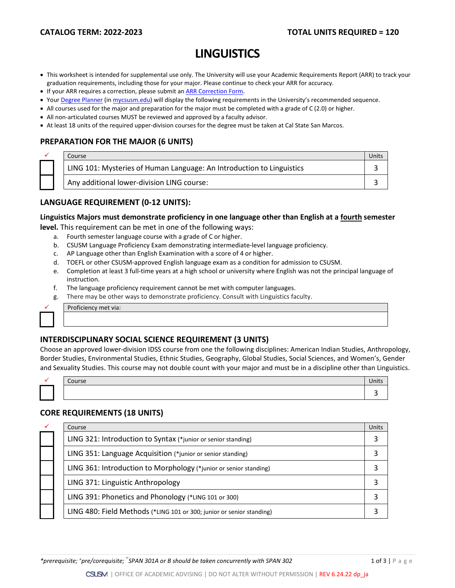# **LINGUISTICS**

- This worksheet is intended for supplemental use only. The University will use your Academic Requirements Report (ARR) to track your graduation requirements, including those for your major. Please continue to check your ARR for accuracy.
- If your ARR requires a correction, please submit an **ARR Correction Form.**
- You[r Degree Planner](https://www.csusm.edu/academicadvising/degreeplanner/index.html) (i[n mycsusm.edu\)](https://my.csusm.edu/) will display the following requirements in the University's recommended sequence.
- All courses used for the major and preparation for the major must be completed with a grade of C (2.0) or higher.
- All non-articulated courses MUST be reviewed and approved by a faculty advisor.
- At least 18 units of the required upper-division courses for the degree must be taken at Cal State San Marcos.

### **PREPARATION FOR THE MAJOR (6 UNITS)**

| Course                                                                | Units |
|-----------------------------------------------------------------------|-------|
| LING 101: Mysteries of Human Language: An Introduction to Linguistics |       |
| Any additional lower-division LING course:                            |       |

## **LANGUAGE REQUIREMENT (0-12 UNITS):**

# **Linguistics Majors must demonstrate proficiency in one language other than English at a fourth semester**

**level.** This requirement can be met in one of the following ways:

- a. Fourth semester language course with a grade of C or higher.
- b. CSUSM Language Proficiency Exam demonstrating intermediate-level language proficiency.
- c. AP Language other than English Examination with a score of 4 or higher.
- d. TOEFL or other CSUSM-approved English language exam as a condition for admission to CSUSM.
- e. Completion at least 3 full-time years at a high school or university where English was not the principal language of instruction.
- f. The language proficiency requirement cannot be met with computer languages.
- g. There may be other ways to demonstrate proficiency. Consult with Linguistics faculty.



#### Proficiency met via:

## **INTERDISCIPLINARY SOCIAL SCIENCE REQUIREMENT (3 UNITS)**

Choose an approved lower-division IDSS course from one the following disciplines: American Indian Studies, Anthropology, Border Studies, Environmental Studies, Ethnic Studies, Geography, Global Studies, Social Sciences, and Women's, Gender and Sexuality Studies. This course may not double count with your major and must be in a discipline other than Linguistics.

|  | Course |  |
|--|--------|--|
|  |        |  |
|  |        |  |

| Course |  |
|--------|--|
|        |  |

### **CORE REQUIREMENTS (18 UNITS)**

| ✓ | Course                                                                | Units |
|---|-----------------------------------------------------------------------|-------|
|   | LING 321: Introduction to Syntax (*junior or senior standing)         |       |
|   | LING 351: Language Acquisition (*junior or senior standing)           |       |
|   | LING 361: Introduction to Morphology (*junior or senior standing)     |       |
|   | LING 371: Linguistic Anthropology                                     |       |
|   | LING 391: Phonetics and Phonology (*LING 101 or 300)                  |       |
|   | LING 480: Field Methods (*LING 101 or 300; junior or senior standing) |       |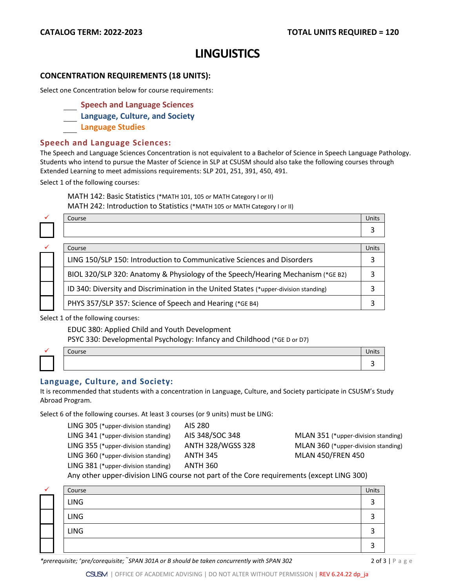# **LINGUISTICS**

### **CONCENTRATION REQUIREMENTS (18 UNITS):**

Select one Concentration below for course requirements:

- **Speech and Language Sciences**
- **Language, Culture, and Society**
- **Language Studies**

#### **Speech and Language Sciences:**

The Speech and Language Sciences Concentration is not equivalent to a Bachelor of Science in Speech Language Pathology. Students who intend to pursue the Master of Science in SLP at CSUSM should also take the following courses through Extended Learning to meet admissions requirements: SLP 201, 251, 391, 450, 491.

Select 1 of the following courses:

MATH 142: Basic Statistics (\*MATH 101, 105 or MATH Category I or II) MATH 242: Introduction to Statistics (\*MATH 105 or MATH Category I or II)

|  | Course                                                                               | Units |
|--|--------------------------------------------------------------------------------------|-------|
|  |                                                                                      |       |
|  |                                                                                      |       |
|  | Course                                                                               | Units |
|  | LING 150/SLP 150: Introduction to Communicative Sciences and Disorders               |       |
|  | BIOL 320/SLP 320: Anatomy & Physiology of the Speech/Hearing Mechanism (*GE B2)      |       |
|  | ID 340: Diversity and Discrimination in the United States (*upper-division standing) |       |
|  | PHYS 357/SLP 357: Science of Speech and Hearing (*GE B4)                             |       |

Select 1 of the following courses:

EDUC 380: Applied Child and Youth Development

PSYC 330: Developmental Psychology: Infancy and Childhood (\*GE D or D7)

| $\sim \cdot \cdot$<br>. |  |
|-------------------------|--|
|                         |  |

### **Language, Culture, and Society:**

It is recommended that students with a concentration in Language, Culture, and Society participate in CSUSM's Study Abroad Program.

Select 6 of the following courses. At least 3 courses (or 9 units) must be LING:

LING 305 (\*upper-division standing) AIS 280 LING 341 (\*upper-division standing) AIS 348/SOC 348 MLAN 351 (\*upper-division standing) LING 355 (\*upper-division standing) ANTH 328/WGSS 328 MLAN 360 (\*upper-division standing) LING 360 (\*upper-division standing) ANTH 345 MLAN 450/FREN 450 LING 381 (\*upper-division standing) ANTH 360

Any other upper-division LING course not part of the Core requirements (except LING 300)

| v | Course      | <b>Units</b> |
|---|-------------|--------------|
|   | LING        |              |
|   | <b>LING</b> |              |
|   | <b>LING</b> |              |
|   |             |              |

*\*prerequisite; ^pre/corequisite;*  $\tilde{\ }$ *SPAN 301A or B should be taken concurrently with SPAN 302* 2 2 **12** 2 of 3 | P a g e